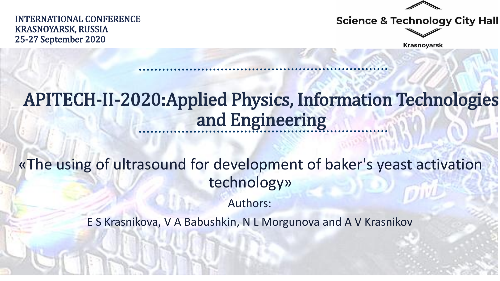INTERNATIONAL CONFERENCE KRASNOYARSK, RUSSIA 25-27 September 2020





**Krasnoyarsk** 

# APITECH-II-2020:Applied Physics, Information Technologies and Engineering

«The using of ultrasound for development of baker's yeast activation technology»

Authors:

E S Krasnikova, V A Babushkin, N L Morgunova and A V Krasnikov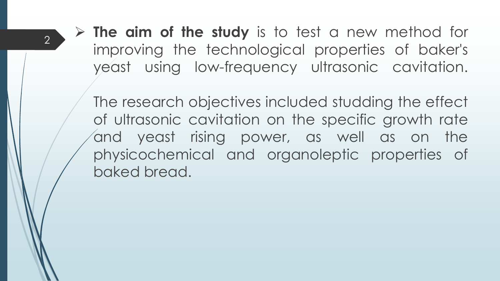**The aim of the study** is to test a new method for improving the technological properties of baker's yeast using low-frequency ultrasonic cavitation.

The research objectives included studding the effect of ultrasonic cavitation on the specific growth rate and yeast rising power, as well as on the physicochemical and organoleptic properties of baked bread.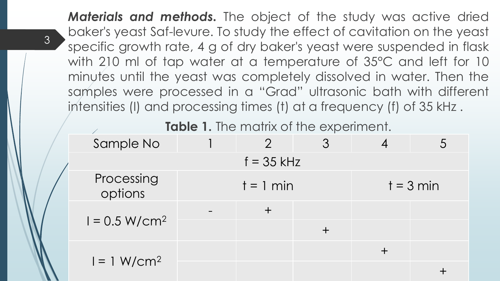*Materials and methods.* The object of the study was active dried baker's yeast Saf-levure. To study the effect of cavitation on the yeast specific growth rate, 4 g of dry baker's yeast were suspended in flask with 210 ml of tap water at a temperature of 35°C and left for 10 minutes until the yeast was completely dissolved in water. Then the samples were processed in a "Grad" ultrasonic bath with different intensities (I) and processing times (t) at a frequency (f) of 35 kHz .

3

**Table 1.** The matrix of the experiment.

| Sample No             |             | $\overline{2}$ |  |             |  |  |  |  |
|-----------------------|-------------|----------------|--|-------------|--|--|--|--|
| $f = 35$ kHz          |             |                |  |             |  |  |  |  |
| Processing<br>options | $t = 1$ min |                |  | $t = 3$ min |  |  |  |  |
| $I = 0.5 W/cm2$       |             |                |  |             |  |  |  |  |
| $I = 1 W/cm2$         |             |                |  | $\div$      |  |  |  |  |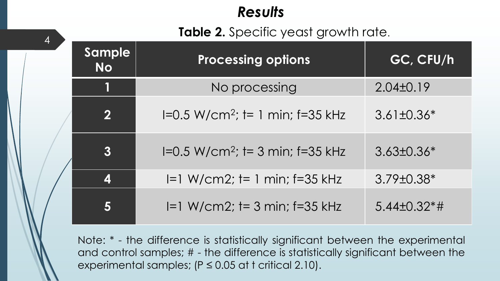### *Results*

4

#### **Table 2.** Specific yeast growth rate.

| Sample<br><b>No</b>     | <b>Processing options</b>            | GC, CFU/h         |
|-------------------------|--------------------------------------|-------------------|
| 1                       | No processing                        | $2.04 \pm 0.19$   |
| $\overline{\mathbf{2}}$ | $I=0.5 W/cm^2$ ; t= 1 min; f=35 kHz  | $3.61 \pm 0.36*$  |
| $\boldsymbol{3}$        | $I=0.5 W/cm^2$ ; t= 3 min; f=35 kHz  | $3.63 \pm 0.36*$  |
| 4                       | $I=1 W/cm2$ ; $I=1 min$ ; $f=35 kHz$ | $3.79 \pm 0.38^*$ |
| 5                       | $I=1 W/cm2$ ; t= 3 min; f=35 kHz     | $5.44\pm0.32**$   |

Note: \* - the difference is statistically significant between the experimental and control samples; # - the difference is statistically significant between the experimental samples; ( $P \le 0.05$  at t critical 2.10).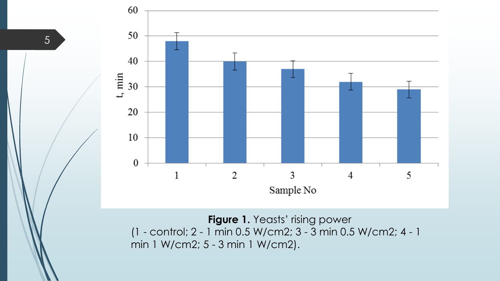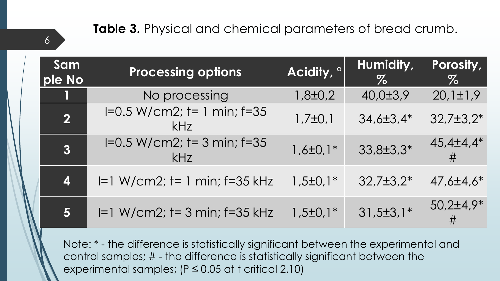#### **Table 3.** Physical and chemical parameters of bread crumb.

6

| Sam<br>ple No  | <b>Processing options</b>             | Acidity, <sup>o</sup> | Humidity,<br>$\%$ | Porosity,<br>$\%$ |
|----------------|---------------------------------------|-----------------------|-------------------|-------------------|
| L              | No processing                         | $1,8 \pm 0.2$         | 40,0±3,9          | $20,1 \pm 1,9$    |
| $\overline{2}$ | $I=0.5 W/cm2$ ; t= 1 min; f=35<br>kHz | $1,7\pm0,1$           | $34,6 \pm 3,4^*$  | $32,7\pm3,2*$     |
| 3              | $I=0.5 W/cm2$ ; t= 3 min; f=35<br>kHz | $1,6 \pm 0,1*$        | $33,8 \pm 3,3^*$  | $45,4\pm4,4*$     |
| 4              | $I=1 W/cm2$ ; $I=1 min$ ; $I=35 kHz$  | $1,5\pm0,1*$          | $32,7\pm3,2*$     | $47,6 \pm 4,6^*$  |
| 5              | $I=1 W/cm2$ ; t= 3 min; f=35 kHz      | $1,5\pm0,1*$          | $31,5\pm3,1*$     | $50,2{\pm}4,9*$   |

Note: \* - the difference is statistically significant between the experimental and control samples; # - the difference is statistically significant between the experimental samples;  $(P \le 0.05$  at t critical 2.10)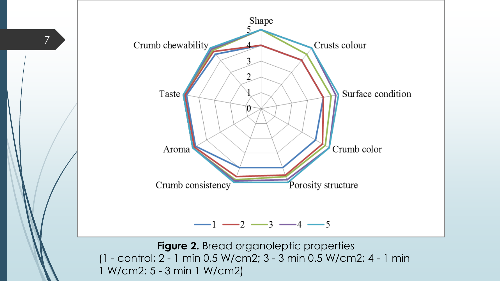

**Figure 2.** Bread organoleptic properties (1 - control; 2 - 1 min 0.5 W/cm2; 3 - 3 min 0.5 W/cm2; 4 - 1 min 1 W/cm2; 5 - 3 min 1 W/cm2)

7